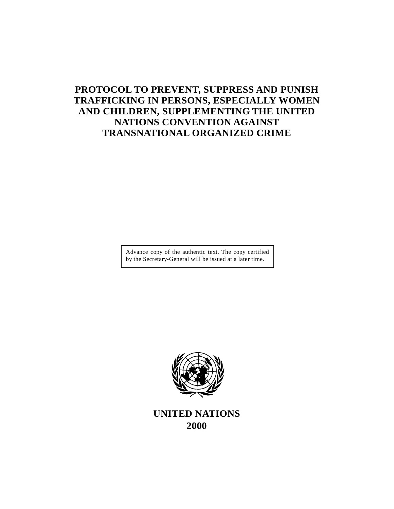# **PROTOCOL TO PREVENT, SUPPRESS AND PUNISH TRAFFICKING IN PERSONS, ESPECIALLY WOMEN AND CHILDREN, SUPPLEMENTING THE UNITED NATIONS CONVENTION AGAINST TRANSNATIONAL ORGANIZED CRIME**

Advance copy of the authentic text. The copy certified by the Secretary-General will be issued at a later time.



**UNITED NATIONS 2000**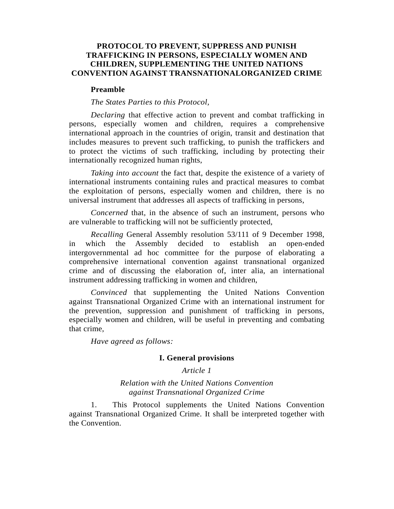#### **PROTOCOL TO PREVENT, SUPPRESS AND PUNISH TRAFFICKING IN PERSONS, ESPECIALLY WOMEN AND CHILDREN, SUPPLEMENTING THE UNITED NATIONS CONVENTION AGAINST TRANSNATIONALORGANIZED CRIME**

#### **Preamble**

#### *The States Parties to this Protocol,*

*Declaring* that effective action to prevent and combat trafficking in persons, especially women and children, requires a comprehensive international approach in the countries of origin, transit and destination that includes measures to prevent such trafficking, to punish the traffickers and to protect the victims of such trafficking, including by protecting their internationally recognized human rights,

*Taking into account* the fact that, despite the existence of a variety of international instruments containing rules and practical measures to combat the exploitation of persons, especially women and children, there is no universal instrument that addresses all aspects of trafficking in persons,

*Concerned* that, in the absence of such an instrument, persons who are vulnerable to trafficking will not be sufficiently protected,

*Recalling* General Assembly resolution 53/111 of 9 December 1998, in which the Assembly decided to establish an open-ended intergovernmental ad hoc committee for the purpose of elaborating a comprehensive international convention against transnational organized crime and of discussing the elaboration of, inter alia, an international instrument addressing trafficking in women and children,

*Convinced* that supplementing the United Nations Convention against Transnational Organized Crime with an international instrument for the prevention, suppression and punishment of trafficking in persons, especially women and children, will be useful in preventing and combating that crime,

 *Have agreed as follows:* 

#### **I. General provisions**

#### *Article 1*

#### *Relation with the United Nations Convention against Transnational Organized Crime*

 1. This Protocol supplements the United Nations Convention against Transnational Organized Crime. It shall be interpreted together with the Convention.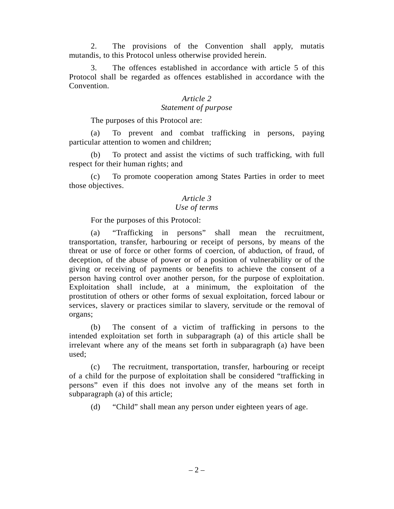2. The provisions of the Convention shall apply, mutatis mutandis, to this Protocol unless otherwise provided herein.

 3. The offences established in accordance with article 5 of this Protocol shall be regarded as offences established in accordance with the Convention.

#### *Article 2*

#### *Statement of purpose*

The purposes of this Protocol are:

 (a) To prevent and combat trafficking in persons, paying particular attention to women and children;

 (b) To protect and assist the victims of such trafficking, with full respect for their human rights; and

 (c) To promote cooperation among States Parties in order to meet those objectives.

## *Article 3*

#### *Use of terms*

For the purposes of this Protocol:

 (a) "Trafficking in persons" shall mean the recruitment, transportation, transfer, harbouring or receipt of persons, by means of the threat or use of force or other forms of coercion, of abduction, of fraud, of deception, of the abuse of power or of a position of vulnerability or of the giving or receiving of payments or benefits to achieve the consent of a person having control over another person, for the purpose of exploitation. Exploitation shall include, at a minimum, the exploitation of the prostitution of others or other forms of sexual exploitation, forced labour or services, slavery or practices similar to slavery, servitude or the removal of organs;

 (b) The consent of a victim of trafficking in persons to the intended exploitation set forth in subparagraph (a) of this article shall be irrelevant where any of the means set forth in subparagraph (a) have been used;

 (c) The recruitment, transportation, transfer, harbouring or receipt of a child for the purpose of exploitation shall be considered "trafficking in persons" even if this does not involve any of the means set forth in subparagraph (a) of this article;

(d) "Child" shall mean any person under eighteen years of age.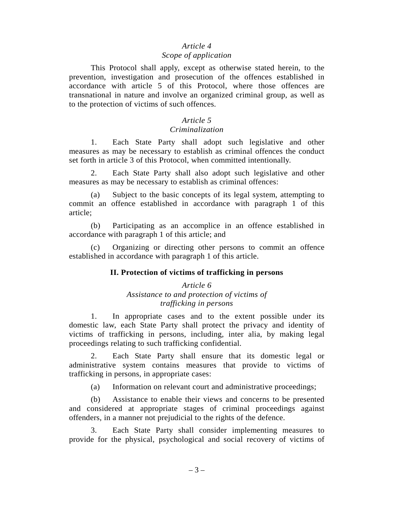## *Article 4*

## *Scope of application*

 This Protocol shall apply, except as otherwise stated herein, to the prevention, investigation and prosecution of the offences established in accordance with article 5 of this Protocol, where those offences are transnational in nature and involve an organized criminal group, as well as to the protection of victims of such offences.

## *Article 5*

## *Criminalization*

 1. Each State Party shall adopt such legislative and other measures as may be necessary to establish as criminal offences the conduct set forth in article 3 of this Protocol, when committed intentionally.

Each State Party shall also adopt such legislative and other measures as may be necessary to establish as criminal offences:

 (a) Subject to the basic concepts of its legal system, attempting to commit an offence established in accordance with paragraph 1 of this article;

 (b) Participating as an accomplice in an offence established in accordance with paragraph 1 of this article; and

 (c) Organizing or directing other persons to commit an offence established in accordance with paragraph 1 of this article.

## **II. Protection of victims of trafficking in persons**

## *Article 6 Assistance to and protection of victims of trafficking in persons*

 1. In appropriate cases and to the extent possible under its domestic law, each State Party shall protect the privacy and identity of victims of trafficking in persons, including, inter alia, by making legal proceedings relating to such trafficking confidential.

 2. Each State Party shall ensure that its domestic legal or administrative system contains measures that provide to victims of trafficking in persons, in appropriate cases:

(a) Information on relevant court and administrative proceedings;

 (b) Assistance to enable their views and concerns to be presented and considered at appropriate stages of criminal proceedings against offenders, in a manner not prejudicial to the rights of the defence.

 3. Each State Party shall consider implementing measures to provide for the physical, psychological and social recovery of victims of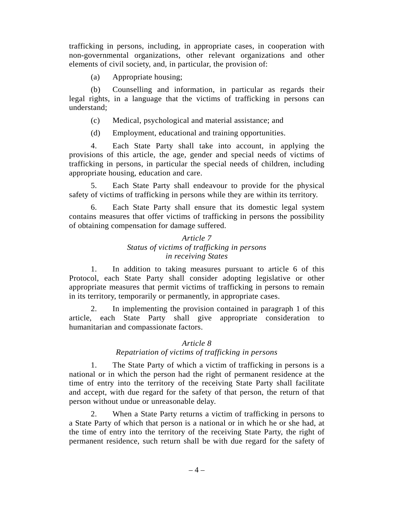trafficking in persons, including, in appropriate cases, in cooperation with non-governmental organizations, other relevant organizations and other elements of civil society, and, in particular, the provision of:

(a) Appropriate housing;

 (b) Counselling and information, in particular as regards their legal rights, in a language that the victims of trafficking in persons can understand;

(c) Medical, psychological and material assistance; and

(d) Employment, educational and training opportunities.

 4. Each State Party shall take into account, in applying the provisions of this article, the age, gender and special needs of victims of trafficking in persons, in particular the special needs of children, including appropriate housing, education and care.

 5. Each State Party shall endeavour to provide for the physical safety of victims of trafficking in persons while they are within its territory.

 6. Each State Party shall ensure that its domestic legal system contains measures that offer victims of trafficking in persons the possibility of obtaining compensation for damage suffered.

## *Article 7 Status of victims of trafficking in persons in receiving States*

 1. In addition to taking measures pursuant to article 6 of this Protocol, each State Party shall consider adopting legislative or other appropriate measures that permit victims of trafficking in persons to remain in its territory, temporarily or permanently, in appropriate cases.

 2. In implementing the provision contained in paragraph 1 of this article, each State Party shall give appropriate consideration to humanitarian and compassionate factors.

## *Article 8*

## *Repatriation of victims of trafficking in persons*

 1. The State Party of which a victim of trafficking in persons is a national or in which the person had the right of permanent residence at the time of entry into the territory of the receiving State Party shall facilitate and accept, with due regard for the safety of that person, the return of that person without undue or unreasonable delay.

 2. When a State Party returns a victim of trafficking in persons to a State Party of which that person is a national or in which he or she had, at the time of entry into the territory of the receiving State Party, the right of permanent residence, such return shall be with due regard for the safety of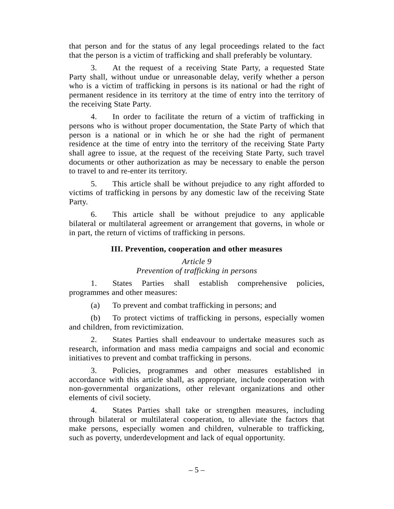that person and for the status of any legal proceedings related to the fact that the person is a victim of trafficking and shall preferably be voluntary.

 3. At the request of a receiving State Party, a requested State Party shall, without undue or unreasonable delay, verify whether a person who is a victim of trafficking in persons is its national or had the right of permanent residence in its territory at the time of entry into the territory of the receiving State Party.

 4. In order to facilitate the return of a victim of trafficking in persons who is without proper documentation, the State Party of which that person is a national or in which he or she had the right of permanent residence at the time of entry into the territory of the receiving State Party shall agree to issue, at the request of the receiving State Party, such travel documents or other authorization as may be necessary to enable the person to travel to and re-enter its territory.

 5. This article shall be without prejudice to any right afforded to victims of trafficking in persons by any domestic law of the receiving State Party.

 6. This article shall be without prejudice to any applicable bilateral or multilateral agreement or arrangement that governs, in whole or in part, the return of victims of trafficking in persons.

#### **III. Prevention, cooperation and other measures**

#### *Article 9*

## *Prevention of trafficking in persons*

 1. States Parties shall establish comprehensive policies, programmes and other measures:

(a) To prevent and combat trafficking in persons; and

 (b) To protect victims of trafficking in persons, especially women and children, from revictimization.

 2. States Parties shall endeavour to undertake measures such as research, information and mass media campaigns and social and economic initiatives to prevent and combat trafficking in persons.

 3. Policies, programmes and other measures established in accordance with this article shall, as appropriate, include cooperation with non-governmental organizations, other relevant organizations and other elements of civil society.

 4. States Parties shall take or strengthen measures, including through bilateral or multilateral cooperation, to alleviate the factors that make persons, especially women and children, vulnerable to trafficking, such as poverty, underdevelopment and lack of equal opportunity.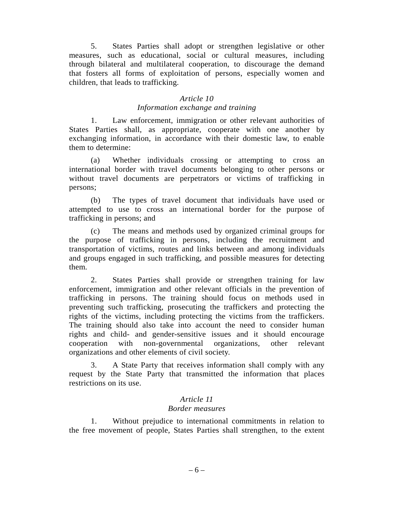5. States Parties shall adopt or strengthen legislative or other measures, such as educational, social or cultural measures, including through bilateral and multilateral cooperation, to discourage the demand that fosters all forms of exploitation of persons, especially women and children, that leads to trafficking.

#### *Article 10*

#### *Information exchange and training*

 1. Law enforcement, immigration or other relevant authorities of States Parties shall, as appropriate, cooperate with one another by exchanging information, in accordance with their domestic law, to enable them to determine:

 (a) Whether individuals crossing or attempting to cross an international border with travel documents belonging to other persons or without travel documents are perpetrators or victims of trafficking in persons;

 (b) The types of travel document that individuals have used or attempted to use to cross an international border for the purpose of trafficking in persons; and

 (c) The means and methods used by organized criminal groups for the purpose of trafficking in persons, including the recruitment and transportation of victims, routes and links between and among individuals and groups engaged in such trafficking, and possible measures for detecting them.

 2. States Parties shall provide or strengthen training for law enforcement, immigration and other relevant officials in the prevention of trafficking in persons. The training should focus on methods used in preventing such trafficking, prosecuting the traffickers and protecting the rights of the victims, including protecting the victims from the traffickers. The training should also take into account the need to consider human rights and child- and gender-sensitive issues and it should encourage cooperation with non-governmental organizations, other relevant organizations and other elements of civil society.

 3. A State Party that receives information shall comply with any request by the State Party that transmitted the information that places restrictions on its use.

## *Article 11*

#### *Border measures*

 1. Without prejudice to international commitments in relation to the free movement of people, States Parties shall strengthen, to the extent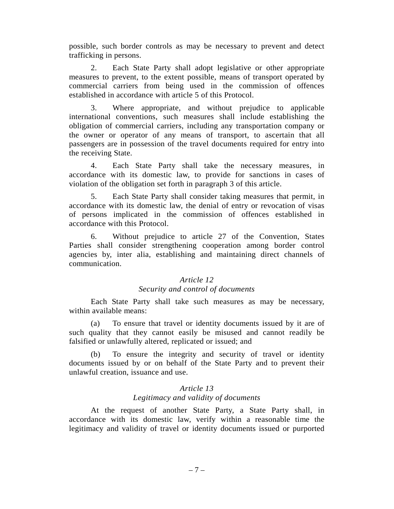possible, such border controls as may be necessary to prevent and detect trafficking in persons.

 2. Each State Party shall adopt legislative or other appropriate measures to prevent, to the extent possible, means of transport operated by commercial carriers from being used in the commission of offences established in accordance with article 5 of this Protocol.

 3. Where appropriate, and without prejudice to applicable international conventions, such measures shall include establishing the obligation of commercial carriers, including any transportation company or the owner or operator of any means of transport, to ascertain that all passengers are in possession of the travel documents required for entry into the receiving State.

 4. Each State Party shall take the necessary measures, in accordance with its domestic law, to provide for sanctions in cases of violation of the obligation set forth in paragraph 3 of this article.

 5. Each State Party shall consider taking measures that permit, in accordance with its domestic law, the denial of entry or revocation of visas of persons implicated in the commission of offences established in accordance with this Protocol.

 6. Without prejudice to article 27 of the Convention, States Parties shall consider strengthening cooperation among border control agencies by, inter alia, establishing and maintaining direct channels of communication.

## *Article 12*

#### *Security and control of documents*

 Each State Party shall take such measures as may be necessary, within available means:

 (a) To ensure that travel or identity documents issued by it are of such quality that they cannot easily be misused and cannot readily be falsified or unlawfully altered, replicated or issued; and

 (b) To ensure the integrity and security of travel or identity documents issued by or on behalf of the State Party and to prevent their unlawful creation, issuance and use.

## *Article 13 Legitimacy and validity of documents*

 At the request of another State Party, a State Party shall, in accordance with its domestic law, verify within a reasonable time the legitimacy and validity of travel or identity documents issued or purported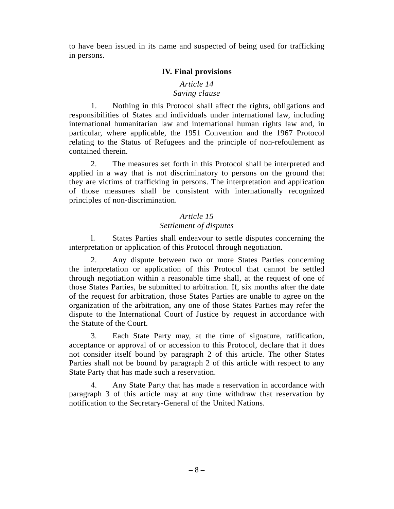to have been issued in its name and suspected of being used for trafficking in persons.

#### **IV. Final provisions**

## *Article 14 Saving clause*

 1. Nothing in this Protocol shall affect the rights, obligations and responsibilities of States and individuals under international law, including international humanitarian law and international human rights law and, in particular, where applicable, the 1951 Convention and the 1967 Protocol relating to the Status of Refugees and the principle of non-refoulement as contained therein.

 2. The measures set forth in this Protocol shall be interpreted and applied in a way that is not discriminatory to persons on the ground that they are victims of trafficking in persons. The interpretation and application of those measures shall be consistent with internationally recognized principles of non-discrimination.

#### *Article 15*

#### *Settlement of disputes*

 l. States Parties shall endeavour to settle disputes concerning the interpretation or application of this Protocol through negotiation.

 2. Any dispute between two or more States Parties concerning the interpretation or application of this Protocol that cannot be settled through negotiation within a reasonable time shall, at the request of one of those States Parties, be submitted to arbitration. If, six months after the date of the request for arbitration, those States Parties are unable to agree on the organization of the arbitration, any one of those States Parties may refer the dispute to the International Court of Justice by request in accordance with the Statute of the Court.

 3. Each State Party may, at the time of signature, ratification, acceptance or approval of or accession to this Protocol, declare that it does not consider itself bound by paragraph 2 of this article. The other States Parties shall not be bound by paragraph 2 of this article with respect to any State Party that has made such a reservation.

 4. Any State Party that has made a reservation in accordance with paragraph 3 of this article may at any time withdraw that reservation by notification to the Secretary-General of the United Nations.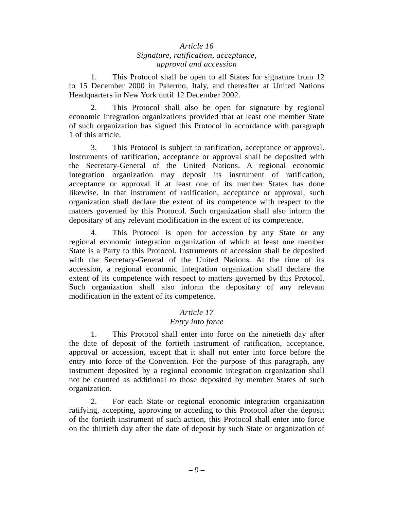#### *Article 16 Signature, ratification, acceptance, approval and accession*

 1. This Protocol shall be open to all States for signature from 12 to 15 December 2000 in Palermo, Italy, and thereafter at United Nations Headquarters in New York until 12 December 2002.

 2. This Protocol shall also be open for signature by regional economic integration organizations provided that at least one member State of such organization has signed this Protocol in accordance with paragraph 1 of this article.

 3. This Protocol is subject to ratification, acceptance or approval. Instruments of ratification, acceptance or approval shall be deposited with the Secretary-General of the United Nations. A regional economic integration organization may deposit its instrument of ratification, acceptance or approval if at least one of its member States has done likewise. In that instrument of ratification, acceptance or approval, such organization shall declare the extent of its competence with respect to the matters governed by this Protocol. Such organization shall also inform the depositary of any relevant modification in the extent of its competence.

 4. This Protocol is open for accession by any State or any regional economic integration organization of which at least one member State is a Party to this Protocol. Instruments of accession shall be deposited with the Secretary-General of the United Nations. At the time of its accession, a regional economic integration organization shall declare the extent of its competence with respect to matters governed by this Protocol. Such organization shall also inform the depositary of any relevant modification in the extent of its competence.

## *Article 17 Entry into force*

 1. This Protocol shall enter into force on the ninetieth day after the date of deposit of the fortieth instrument of ratification, acceptance, approval or accession, except that it shall not enter into force before the entry into force of the Convention. For the purpose of this paragraph, any instrument deposited by a regional economic integration organization shall not be counted as additional to those deposited by member States of such organization.

 2. For each State or regional economic integration organization ratifying, accepting, approving or acceding to this Protocol after the deposit of the fortieth instrument of such action, this Protocol shall enter into force on the thirtieth day after the date of deposit by such State or organization of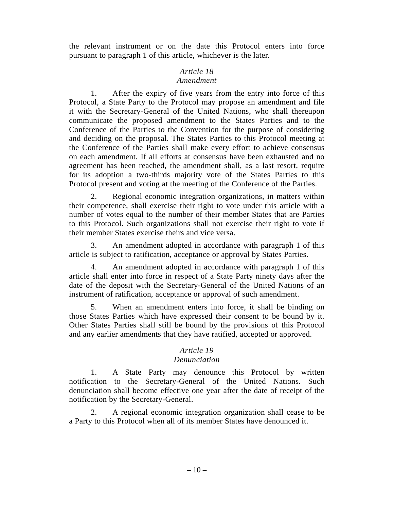the relevant instrument or on the date this Protocol enters into force pursuant to paragraph 1 of this article, whichever is the later.

#### *Article 18 Amendment*

 1. After the expiry of five years from the entry into force of this Protocol, a State Party to the Protocol may propose an amendment and file it with the Secretary-General of the United Nations, who shall thereupon communicate the proposed amendment to the States Parties and to the Conference of the Parties to the Convention for the purpose of considering and deciding on the proposal. The States Parties to this Protocol meeting at the Conference of the Parties shall make every effort to achieve consensus on each amendment. If all efforts at consensus have been exhausted and no agreement has been reached, the amendment shall, as a last resort, require for its adoption a two-thirds majority vote of the States Parties to this Protocol present and voting at the meeting of the Conference of the Parties.

 2. Regional economic integration organizations, in matters within their competence, shall exercise their right to vote under this article with a number of votes equal to the number of their member States that are Parties to this Protocol. Such organizations shall not exercise their right to vote if their member States exercise theirs and vice versa.

 3. An amendment adopted in accordance with paragraph 1 of this article is subject to ratification, acceptance or approval by States Parties.

 4. An amendment adopted in accordance with paragraph 1 of this article shall enter into force in respect of a State Party ninety days after the date of the deposit with the Secretary-General of the United Nations of an instrument of ratification, acceptance or approval of such amendment.

 5. When an amendment enters into force, it shall be binding on those States Parties which have expressed their consent to be bound by it. Other States Parties shall still be bound by the provisions of this Protocol and any earlier amendments that they have ratified, accepted or approved.

## *Article 19*

## *Denunciation*

 1. A State Party may denounce this Protocol by written notification to the Secretary-General of the United Nations. Such denunciation shall become effective one year after the date of receipt of the notification by the Secretary-General.

 2. A regional economic integration organization shall cease to be a Party to this Protocol when all of its member States have denounced it.